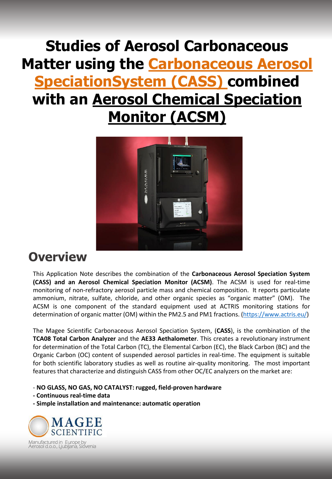## **Studies of Aerosol Carbonaceous Matter using the Carbonaceous Aerosol SpeciationSystem (CASS) combined with an Aerosol Chemical Speciation Monitor (ACSM)**



## **Overview**

This Application Note describes the combination of the **Carbonaceous Aerosol Speciation System (CASS) and an Aerosol Chemical Speciation Monitor (ACSM)**. The ACSM is used for real-time monitoring of non-refractory aerosol particle mass and chemical composition. It reports particulate ammonium, nitrate, sulfate, chloride, and other organic species as "organic matter" (OM). The ACSM is one component of the standard equipment used at ACTRIS monitoring stations for determination of organic matter (OM) within the PM2.5 and PM1 fractions. (<https://www.actris.eu/>)

The Magee Scientific Carbonaceous Aerosol Speciation System, (**CASS**), is the combination of the **TCA08 Total Carbon Analyzer** and the **AE33 Aethalometer**. This creates a revolutionary instrument for determination of the Total Carbon (TC), the Elemental Carbon (EC), the Black Carbon (BC) and the Organic Carbon (OC) content of suspended aerosol particles in real-time. The equipment is suitable for both scientific laboratory studies as well as routine air-quality monitoring. The most important features that characterize and distinguish CASS from other OC/EC analyzers on the market are:

- **NO GLASS, NO GAS, NO CATALYST: rugged, field-proven hardware**

- **- Continuous real-time data**
- **- Simple installation and maintenance: automatic operation**

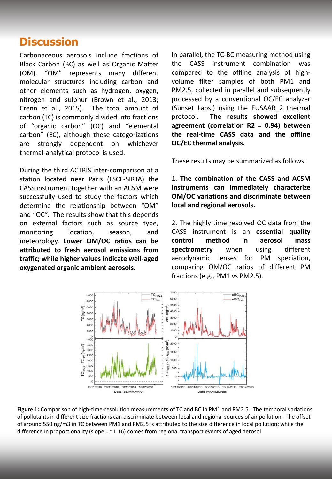## **Discussion**

Carbonaceous aerosols include fractions of Black Carbon (BC) as well as Organic Matter (OM). "OM" represents many different molecular structures including carbon and other elements such as hydrogen, oxygen, nitrogen and sulphur (Brown et al., 2013; Crenn et al., 2015). The total amount of carbon (TC) is commonly divided into fractions of "organic carbon" (OC) and "elemental carbon" (EC), although these categorizations are strongly dependent on whichever thermal-analytical protocol is used.

During the third ACTRIS inter-comparison at a station located near Paris (LSCE-SIRTA) the CASS instrument together with an ACSM were successfully used to study the factors which determine the relationship between "OM" and "OC". The results show that this depends on external factors such as source type, monitoring location, season, and meteorology. **Lower OM/OC ratios can be attributed to fresh aerosol emissions from traffic; while higher values indicate well-aged oxygenated organic ambient aerosols.**

In parallel, the TC-BC measuring method using the CASS instrument combination was compared to the offline analysis of highvolume filter samples of both PM1 and PM2.5, collected in parallel and subsequently processed by a conventional OC/EC analyzer (Sunset Labs.) using the EUSAAR\_2 thermal protocol. **The results showed excellent agreement (correlation R2 = 0.94) between the real-time CASS data and the offline OC/EC thermal analysis.**

These results may be summarized as follows:

1. **The combination of the CASS and ACSM instruments can immediately characterize OM/OC variations and discriminate between local and regional aerosols.**

2. The highly time resolved OC data from the CASS instrument is an **essential quality control method in aerosol mass spectrometry** when using different aerodynamic lenses for PM speciation, comparing OM/OC ratios of different PM fractions (e.g., PM1 vs PM2.5).



**Figure 1:** Comparison of high-time-resolution measurements of TC and BC in PM1 and PM2.5. The temporal variations of pollutants in different size fractions can discriminate between local and regional sources of air pollution. The offset of around 550 ng/m3 in TC between PM1 and PM2.5 is attributed to the size difference in local pollution; while the difference in proportionality (slope  $=\infty$  1.16) comes from regional transport events of aged aerosol.